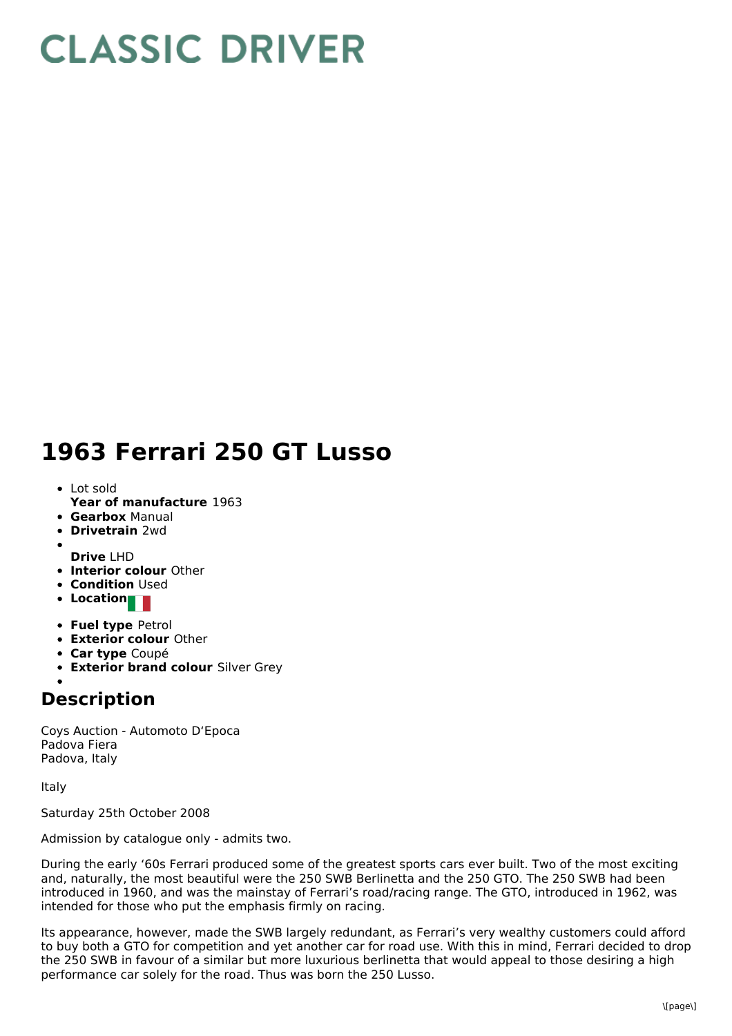## **CLASSIC DRIVER**

## **1963 Ferrari 250 GT Lusso**

- Lot sold
- **Year of manufacture** 1963 **Gearbox** Manual
- **Drivetrain** 2wd
- 
- **Drive** LHD
- **Interior colour** Other
- **Condition** Used
- **Location**
- **Fuel type** Petrol
- **Exterior colour** Other
- **Car type** Coupé
- **Exterior brand colour** Silver Grey

## **Description**

Coys Auction - Automoto D'Epoca Padova Fiera Padova, Italy

Italy

Saturday 25th October 2008

Admission by catalogue only - admits two.

During the early '60s Ferrari produced some of the greatest sports cars ever built. Two of the most exciting and, naturally, the most beautiful were the 250 SWB Berlinetta and the 250 GTO. The 250 SWB had been introduced in 1960, and was the mainstay of Ferrari's road/racing range. The GTO, introduced in 1962, was intended for those who put the emphasis firmly on racing.

Its appearance, however, made the SWB largely redundant, as Ferrari's very wealthy customers could afford to buy both a GTO for competition and yet another car for road use. With this in mind, Ferrari decided to drop the 250 SWB in favour of a similar but more luxurious berlinetta that would appeal to those desiring a high performance car solely for the road. Thus was born the 250 Lusso.